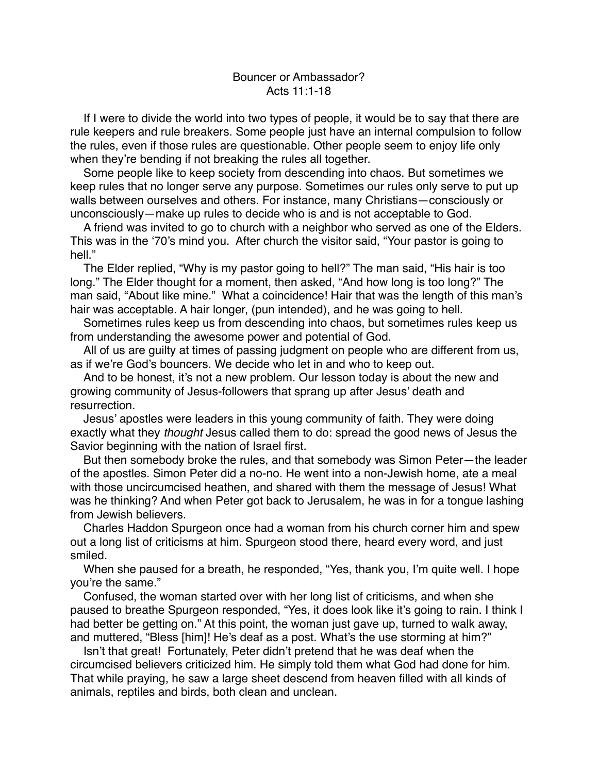If I were to divide the world into two types of people, it would be to say that there are rule keepers and rule breakers. Some people just have an internal compulsion to follow the rules, even if those rules are questionable. Other people seem to enjoy life only when they're bending if not breaking the rules all together.

Some people like to keep society from descending into chaos. But sometimes we keep rules that no longer serve any purpose. Sometimes our rules only serve to put up walls between ourselves and others. For instance, many Christians—consciously or unconsciously—make up rules to decide who is and is not acceptable to God.

A friend was invited to go to church with a neighbor who served as one of the Elders. This was in the '70's mind you. After church the visitor said, "Your pastor is going to hell."

The Elder replied, "Why is my pastor going to hell?" The man said, "His hair is too long." The Elder thought for a moment, then asked, "And how long is too long?" The man said, "About like mine." What a coincidence! Hair that was the length of this man's hair was acceptable. A hair longer, (pun intended), and he was going to hell.

Sometimes rules keep us from descending into chaos, but sometimes rules keep us from understanding the awesome power and potential of God.

All of us are guilty at times of passing judgment on people who are different from us, as if we're God's bouncers. We decide who let in and who to keep out.

And to be honest, it's not a new problem. Our lesson today is about the new and growing community of Jesus-followers that sprang up after Jesus' death and resurrection.

Jesus' apostles were leaders in this young community of faith. They were doing exactly what they *thought* Jesus called them to do: spread the good news of Jesus the Savior beginning with the nation of Israel first.

But then somebody broke the rules, and that somebody was Simon Peter—the leader of the apostles. Simon Peter did a no-no. He went into a non-Jewish home, ate a meal with those uncircumcised heathen, and shared with them the message of Jesus! What was he thinking? And when Peter got back to Jerusalem, he was in for a tongue lashing from Jewish believers.

Charles Haddon Spurgeon once had a woman from his church corner him and spew out a long list of criticisms at him. Spurgeon stood there, heard every word, and just smiled.

When she paused for a breath, he responded, "Yes, thank you, I'm quite well. I hope you're the same."

Confused, the woman started over with her long list of criticisms, and when she paused to breathe Spurgeon responded, "Yes, it does look like it's going to rain. I think I had better be getting on." At this point, the woman just gave up, turned to walk away, and muttered, "Bless [him]! He's deaf as a post. What's the use storming at him?"

Isn't that great! Fortunately, Peter didn't pretend that he was deaf when the circumcised believers criticized him. He simply told them what God had done for him. That while praying, he saw a large sheet descend from heaven filled with all kinds of animals, reptiles and birds, both clean and unclean.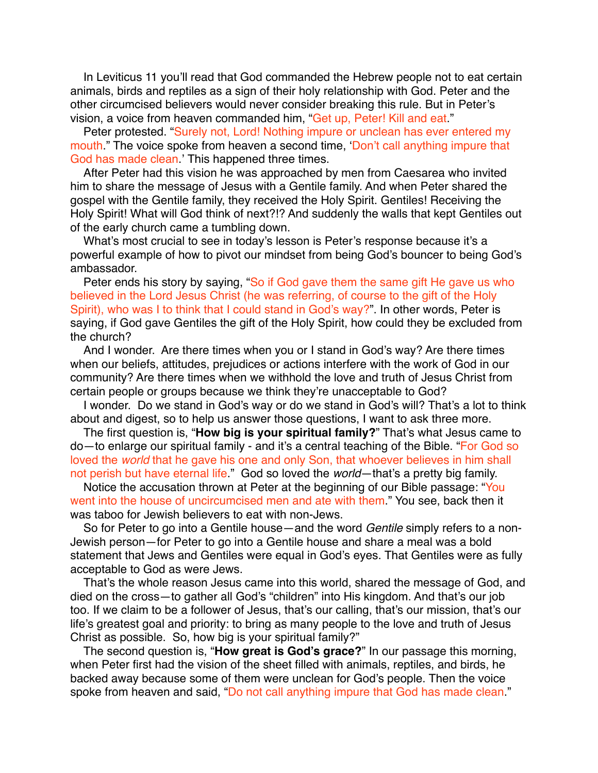In Leviticus 11 you'll read that God commanded the Hebrew people not to eat certain animals, birds and reptiles as a sign of their holy relationship with God. Peter and the other circumcised believers would never consider breaking this rule. But in Peter's vision, a voice from heaven commanded him, "Get up, Peter! Kill and eat."

Peter protested. "Surely not, Lord! Nothing impure or unclean has ever entered my mouth." The voice spoke from heaven a second time, 'Don't call anything impure that God has made clean.' This happened three times.

After Peter had this vision he was approached by men from Caesarea who invited him to share the message of Jesus with a Gentile family. And when Peter shared the gospel with the Gentile family, they received the Holy Spirit. Gentiles! Receiving the Holy Spirit! What will God think of next?!? And suddenly the walls that kept Gentiles out of the early church came a tumbling down.

What's most crucial to see in today's lesson is Peter's response because it's a powerful example of how to pivot our mindset from being God's bouncer to being God's ambassador.

Peter ends his story by saying, "So if God gave them the same gift He gave us who believed in the Lord Jesus Christ (he was referring, of course to the gift of the Holy Spirit), who was I to think that I could stand in God's way?". In other words, Peter is saying, if God gave Gentiles the gift of the Holy Spirit, how could they be excluded from the church?

And I wonder. Are there times when you or I stand in God's way? Are there times when our beliefs, attitudes, prejudices or actions interfere with the work of God in our community? Are there times when we withhold the love and truth of Jesus Christ from certain people or groups because we think they're unacceptable to God?

I wonder. Do we stand in God's way or do we stand in God's will? That's a lot to think about and digest, so to help us answer those questions, I want to ask three more.

The first question is, "**How big is your spiritual family?**" That's what Jesus came to do—to enlarge our spiritual family - and it's a central teaching of the Bible. "For God so loved the *world* that he gave his one and only Son, that whoever believes in him shall not perish but have eternal life." God so loved the *world*—that's a pretty big family.

Notice the accusation thrown at Peter at the beginning of our Bible passage: "You went into the house of uncircumcised men and ate with them." You see, back then it was taboo for Jewish believers to eat with non-Jews.

So for Peter to go into a Gentile house—and the word *Gentile* simply refers to a non-Jewish person—for Peter to go into a Gentile house and share a meal was a bold statement that Jews and Gentiles were equal in God's eyes. That Gentiles were as fully acceptable to God as were Jews.

That's the whole reason Jesus came into this world, shared the message of God, and died on the cross—to gather all God's "children" into His kingdom. And that's our job too. If we claim to be a follower of Jesus, that's our calling, that's our mission, that's our life's greatest goal and priority: to bring as many people to the love and truth of Jesus Christ as possible. So, how big is your spiritual family?"

The second question is, "**How great is God's grace?**" In our passage this morning, when Peter first had the vision of the sheet filled with animals, reptiles, and birds, he backed away because some of them were unclean for God's people. Then the voice spoke from heaven and said, "Do not call anything impure that God has made clean."